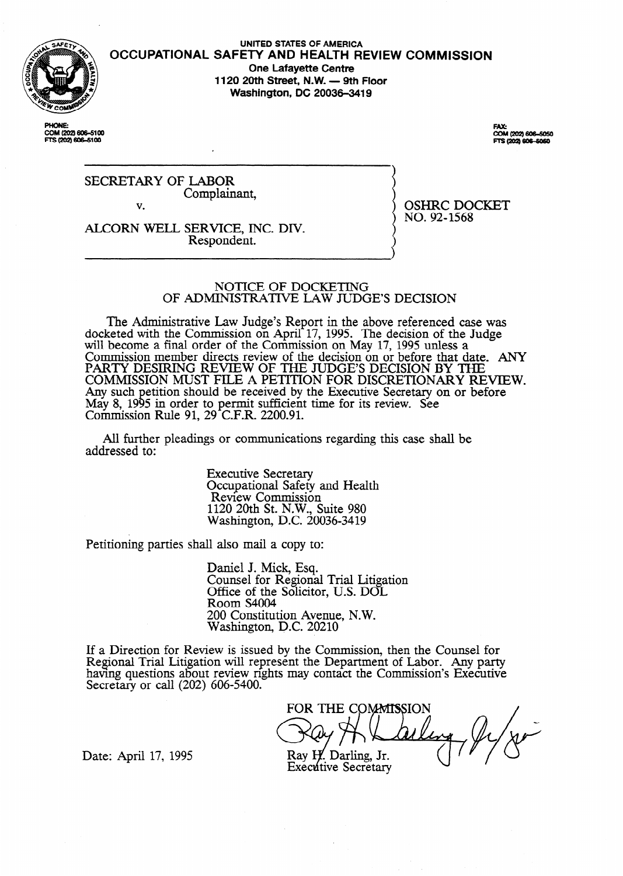

PHONE:<br>COM (202) 606-5100 TS (202) 606-61

### **OCCUPATIONAL SAFETY AND HEALTH REVIEW COMMISSION UNITED STATES OF AMERICA One Lafayette Centre 1120 20th Street, N.W. - 9th Floor Washington, DC 20036-3419**

**FAX:** COM (202) 606-5050<br>FTS (202) 606-5050

SECRETARY OF LABOR Complainant, v.

ALCORN WELL SERVICE, INC. DIV. Respondent.

OSHRC DOCKET NO. 92-1568

 $\langle \rangle$ 

#### NOTICE OF DOCKETING OF ADMINISTRATIVE LAW JUDGE'S DECISION

The Administrative Law Judge's Report in the above referenced case was docketed with the Commission on April 17, 1995. The decision of the Judge will become a final order of the Commission on May 17, 1995 unless a Commission member directs review of the decision on or before that date. ANY PARTY DESIRING REVIEW OF THE JUDGE'S DECISION BY THE COMMISSION MUST FILE A PETITION FOR DISCRETIONARY REVIEW. Any such May 8, 1995 etition should be received by the Executive Secretary on or before 5 in order to permit sufficient time for its review. See Commission Rule 91, 29 C.F.R. 2200.91.

All further pleadings or communications regarding this case shall be addressed to:

> Executive Secretary Occupational Safety and Health Review Commission 1120 20th St. N.W., Suite 980 Washington, D.C. 20036-3419

Petitioning parties shall also mail a copy to:

Daniel J. Mick, Esq. Counsel for Regional Trial Litigation Office of the Solicitor, U.S. DOL Room S4004 200 Constitution Avenue, N.W. Washington, Q.C. 20210

If a Direction for Review is issued by the Commission, then the Counsel for Regional Trial Litigation will represent the Department of Labor. Any party having questions about review rights may contact the Commission's Executive Secretary or call  $(202)$  606-5400.

FOR THE COMMISSION

Date: April 17, 1995

Ray H. Darling, Jr. **Executive Secretary**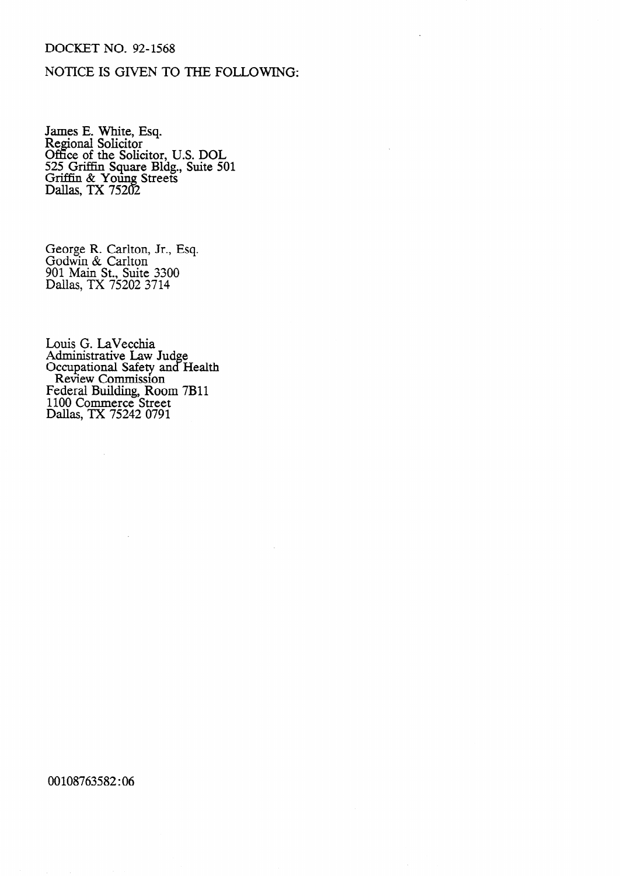# DOCKET NO. 92-1568

# NOTICE IS GIVEN TO THE FOLLOWING:

James E. White, Esq.<br>Regional Solicitor<br>Office of the Solicitor, U.S. DOL<br>525 Griffin Square Bldg., Suite 501<br>Griffin & Young Streets<br>Dallas, TX 75202

George R. Carlton, Jr., Esq.<br>Godwin & Carlton<br>901 Main St., Suite 3300<br>Dallas, TX 75202 3714

Louis G. LaVecchia<br>Administrative Law Judge<br>Occupational Safety and Health<br>Review Commission<br>Federal Building, Room 7B11<br>1100 Commerce Street<br>Dallas, TX 75242 0791

 $\bar{\mathcal{A}}$ 

 $\bar{\beta}$ 

 $\mathcal{A}^{\mathcal{A}}$ 

00108763582:06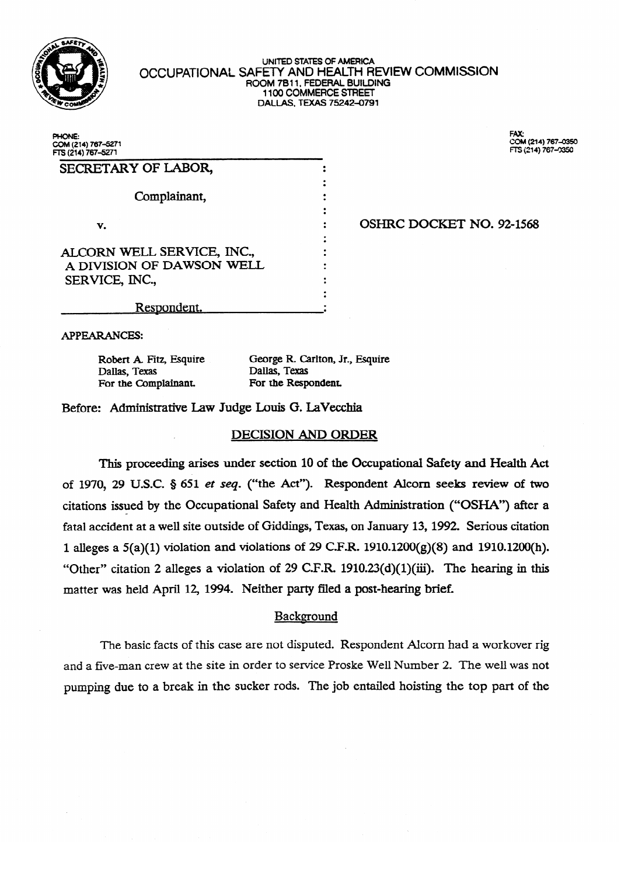

#### UNITED STATES OF AMERICA OCCUPATIONAL SAFETY AND HEALTH HEVIEW COMMISSION<br>DOOM 7811 FEDERAL BUILDING ROOM 7B11, FEDERAL BUILDING<br>1100 COMMERCE STREET 1100 COMMERCE STREET  $D$ ALLAS, TEXAS 75242-0791

| COM (214) 767–5271<br>FTS (214) 767–5271                |  |
|---------------------------------------------------------|--|
| SECRETARY OF LABOR,                                     |  |
| Complainant,                                            |  |
| v.                                                      |  |
|                                                         |  |
| ALCORN WELL SERVICE, INC.,<br>A DIVISION OF DAWSON WELL |  |
| SERVICE, INC.,                                          |  |
| Respondent.                                             |  |

FAX:<br>COM (214) 767-0350  $FTS$  (214) 767-03 FTS (214) 767Jl350

#### OSHRC DOCKET NO. 92-1568 . OSHRC DOCKET NO. 92-1568<br>1

. Respondent. a

APPEARANCES:

Robert A. Fitz, Esquire For the Complainant. For the Responsion

George R. Carlton, Jr., Esquire Dallas, Texas **Dallas, Iexas**<br>Fitz, Carlista de George Reception, Jr., Esquire Reception, Jr., Esquire Reception, Jr., Esquire A

Before: Administrative Law Judge Louis G. LaVecchia

## **DECISION AND ORDER**

This proceeding arises under section 10 of the Occupational Safety and Health Act of 1970, 29 U.S.C.  $\S$  651 et seq. ("the Act"). Respondent Alcorn seeks review of two citations issued by the Occupational Safety and Health Administration ("OSHA") after a fatal accident at a well site outside of Giddings, Texas, on January 13, 1992. Serious citation 1 alleges a  $5(a)(1)$  violation and violations of 29 C.F.R.  $1910.1200(g)(8)$  and  $1910.1200(h)$ . "Other" citation 2 alleges a violation of 29 C.F.R. 1910.23(d)(1)(iii). The hearing in this matter was held April 12, 1994. Neither party filed a post-hearing brief.

# Background

The basic facts of this case are not disputed. Respondent Alcorn had a workover rig and a five-man crew at the site in order to service Proske Well Number 2. The well was not pumping due to a break in the sucker rods. The job entailed hoisting the top part of the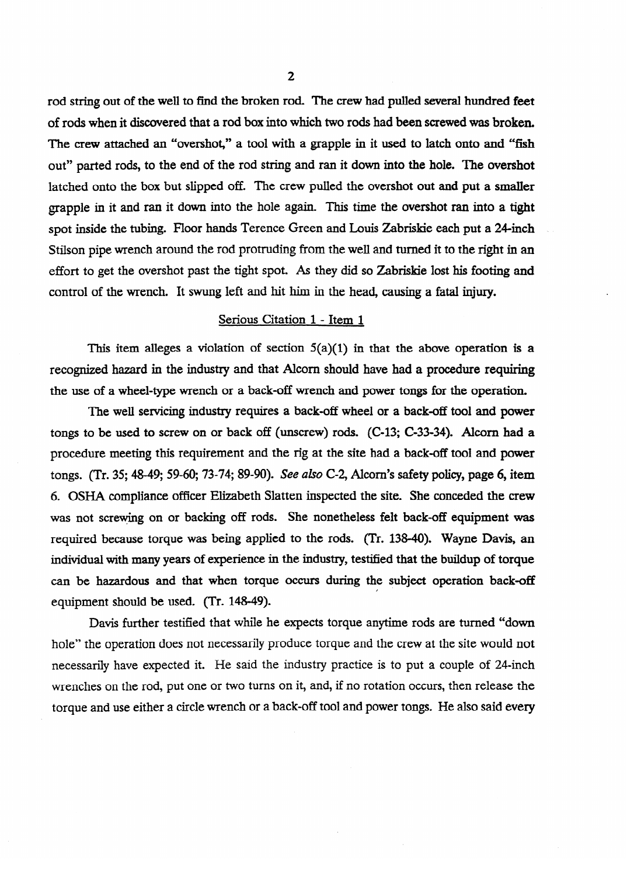rod string out of the well to find the broken rod. The crew had pulled several hundred feet of rods when it discovered that a rod box into which two rods had been screwed was broken. The crew attached an "overshot," a tool with a grapple in it used to latch onto and "fish out" parted rods, to the end of the rod string and ran it down into the hole. The overshot latched onto the box but slipped off. The crew pulled the overshot out and put a smalIer grapple in it and ran it down into the hole again. This time the overshot ran into a tight spot inside the tubing. Floor hands Terence Green and Louis Zabriskie each put a 24-inch ~ Stilson pipe wrench around the rod protruding from the well and tuned it to the right in an effort to get the overshot past the tight spot. As they did so Zabriskie lost his footing and control of the wrench. It swung left and hit him in the head, causing a fatal injury.

## Serious Citation 1 - Item 1

This item alleges a violation of section  $5(a)(1)$  in that the above operation is a recognized hazard in the industry and that Alcom should have had a procedure requiring the use of a wheel-type wrench or a back-off wrench and power tongs for the operation.

The well servicing industry requires a back-off wheel or a back-off tool and power tongs to be used to screw on or back off (unscrew) rods. (C-13; C-33-34). Alcorn had a procedure meeting this requirement and the rig at the site had a back-off tool and power procedure meeting this requirement and the site had a back-off tool and power the site had a back-off tool and power tool and power the site had a back-off tool and power tool and power tool and power tool and power tool tongs. (Tr. 35; 48-49; 59-60; 73-74; 89-90). *See also* C-2, Alcorn's safety policy, page 6, item<br>6. OSHA compliance officer Elizabeth Slatten inspected the site. She conceded the crew was not screwing on or backing off rods. She nonetheless felt back-off equipment was required because torque was being applied to the rods. (Tr. 138-40). Wayne Davis, an individual with many years of experience in the industry, testified that the buildup of torque can be hazardous and that when torque occurs during the subject operation back-off equipment should be used. (Tr. 148-49).

Davis further testified that while he expects torque anytime rods are turned "down hole" the operation does not necessarily produce torque and the crew at the site would not hole necessarily have expected it. He said the industry practice is to put a couple of 24-inch wrenches on the rod, put one or two turns on it, and, if no rotation occurs, then release the torque and use either a circle wrench or a back-off tool and power tongs. He also said every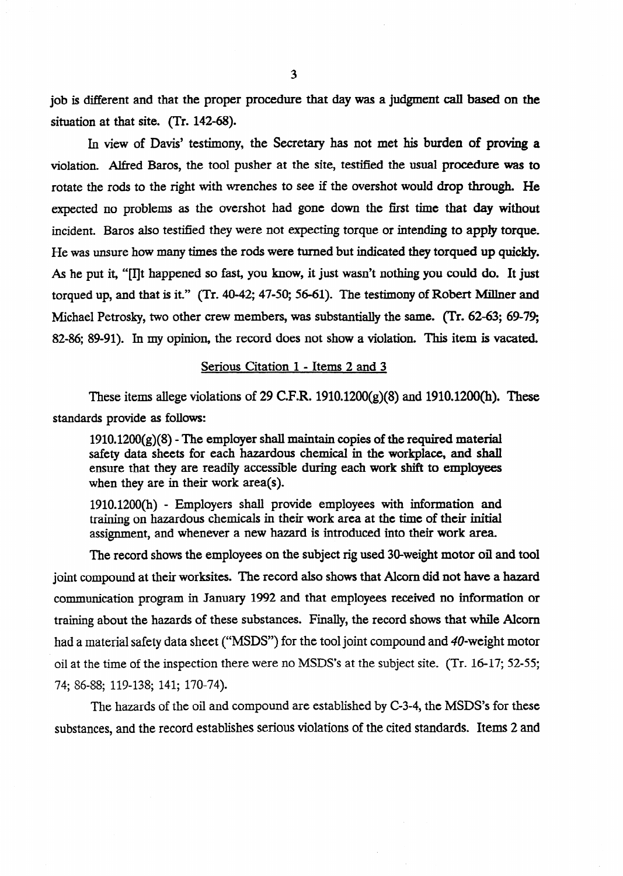job is different and that the proper procedure that day was a judgment call based on the situation at that site. (Tr. 142-68).

In view of Davis' testimony, the Secretary has not met his burden of **proving a**  violation. Alfred Baros, the tool pusher at the site, testified the **usual procedure was to**  rotate the rods to the right with wrenches to see if the overshot would drop through. He expected no problems as the overshot had gone down the first time that day without incident. Baros also testified they were not expecting torque or intending to apply torque. He was unsure how many times the rods were tumed but indicated they torqued up quickly. **As he put** it, "[IIt happened so fast, you know, it just wasn't nothing you could do. **It** just torqued up, and that is it." (Tr. 40-42; 47-50; 56-61). The testimony of Robert Millner and Michael Petrosky, two other crew members, was substantially the same. (Tr. 62-63; 69-79; 82-86, 89-91). In my opinion, the record does not show a violation. This item is vacated.

## Serious Citation 1 - Items 2 and 3

These items allege violations of 29 C.F.R. 1910.1200(g)(8) and 1910.1200(h). These standards provide as follows:

 $1910.1200(g)(8)$  - The employer shall maintain copies of the required material safety data sheets for each hazardous chemical in the workplace, **and shall**  ensure that they are readily accessible during each work shift to employees when they are in their work area(s).

1910.1200(h) - Employers shall provide employees with information and training on hazardous chemicals in their work area at the time of their initial assignment, and whenever a new hazard is introduced into their work area.

The record shows the employees on the subject rig used 30-weight motor oil and tool joint compound at their worksites. The record also shows that Alcom did not have a hazard communication program in January 1992 and that employees received no information or training about the hazards of these substances. Finally, the record shows that while Alcom had a material safety data sheet ("MSDS") for the tool joint compound and 40-weight motor oil at the time of the inspection there were no MSDS's at the subject site. (Tr. 16-17; 52-55; 74; 86-88; 119-138; 141; 170-74).

The hazards of the oil and compound are established by C-3-4, the MSDS's for these substances, and the record establishes serious violations of the cited standards. Items 2 and